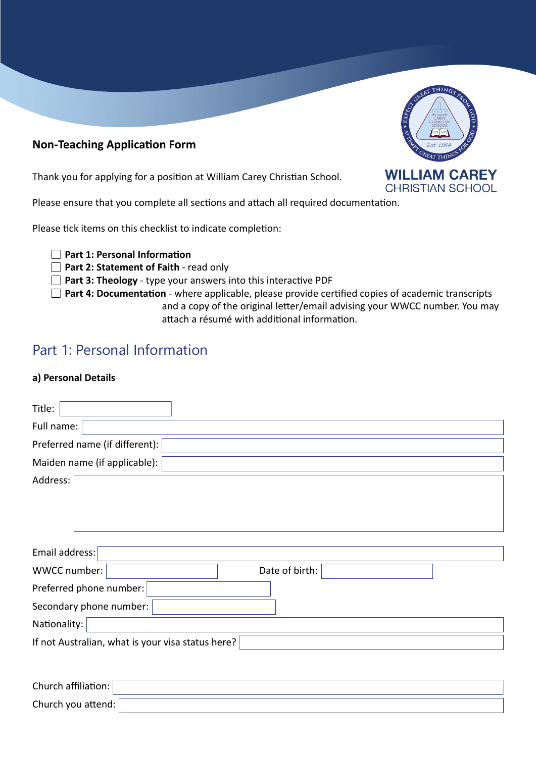### **Non-Teaching Application Form**

Thank you for applying for a position at William Carey Christian School.

Please ensure that you complete all sections and attach all required documentation.

Please tick items on this checklist to indicate completion:

**Part 1: Personal Information**

**Part 2: Statement of Faith** - read only

**Part 3: Theology** - type your answers into this interactive PDF

**Part 4: Documentation** - where applicable, please provide certified copies of academic transcripts and a copy of the original letter/email advising your WWCC number. You may attach a résumé with additional information.

# Part 1: Personal Information

### **a) Personal Details**

| Title:                                            |                |
|---------------------------------------------------|----------------|
| Full name:                                        |                |
| Preferred name (if different):                    |                |
| Maiden name (if applicable):                      |                |
| Address:                                          |                |
| Email address:                                    |                |
| WWCC number:                                      | Date of birth: |
| Preferred phone number:                           |                |
| Secondary phone number:                           |                |
| Nationality:                                      |                |
| If not Australian, what is your visa status here? |                |

| SCREEN THINGS & CO      |
|-------------------------|
| <b>WILLIAM CAREY</b>    |
| <b>CHRISTIAN SCHOOL</b> |

| Church affiliation:    |  |
|------------------------|--|
| Church you attend: $ $ |  |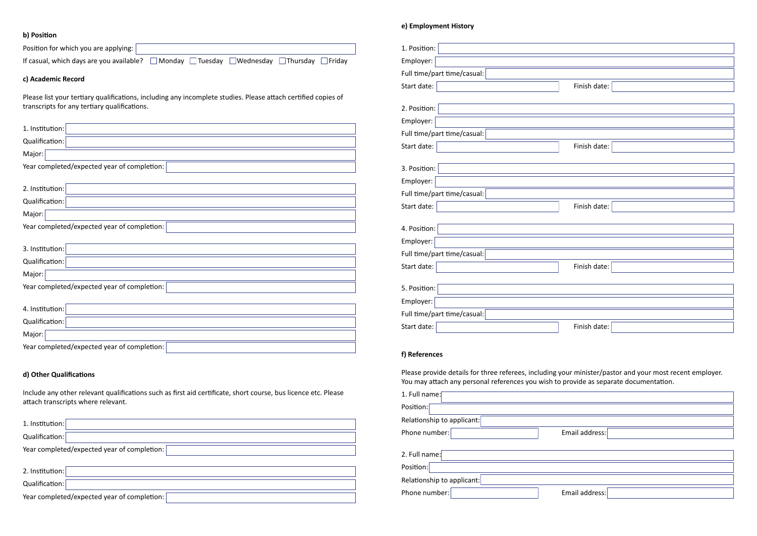### **b) Position**

| Position for which you are applying:                                                                          |  |
|---------------------------------------------------------------------------------------------------------------|--|
| If casual, which days are you available?<br>Monday Tuesday Wednesday Thursday<br>$\Box$ Fridav                |  |
| c) Academic Record                                                                                            |  |
| Please list your tertiary qualifications, including any incomplete studies. Please attach certified copies of |  |

transcripts for any tertiary qualifications.

| 1. Institution:                             |
|---------------------------------------------|
| Qualification:                              |
| Major:                                      |
| Year completed/expected year of completion: |
|                                             |
| 2. Institution:                             |
| Qualification:                              |
| Major:                                      |
| Year completed/expected year of completion: |
|                                             |
| 3. Institution:                             |
| Qualification:                              |
| Major:                                      |
| Year completed/expected year of completion: |
|                                             |
| 4. Institution:                             |
| Qualification:                              |
| Major:                                      |

Year completed/expected year of completion:  $\lceil$ 

| 1. Position:                |                                                                                                                                                                                                   |
|-----------------------------|---------------------------------------------------------------------------------------------------------------------------------------------------------------------------------------------------|
| Employer:                   |                                                                                                                                                                                                   |
| Full time/part time/casual: |                                                                                                                                                                                                   |
| Start date:                 | Finish date:                                                                                                                                                                                      |
|                             |                                                                                                                                                                                                   |
| 2. Position:                |                                                                                                                                                                                                   |
| Employer:                   |                                                                                                                                                                                                   |
| Full time/part time/casual: |                                                                                                                                                                                                   |
| Start date:                 | Finish date:                                                                                                                                                                                      |
|                             |                                                                                                                                                                                                   |
| 3. Position:                |                                                                                                                                                                                                   |
| Employer:                   |                                                                                                                                                                                                   |
| Full time/part time/casual: |                                                                                                                                                                                                   |
| Start date:                 | Finish date:                                                                                                                                                                                      |
| 4. Position:                |                                                                                                                                                                                                   |
| Employer:                   |                                                                                                                                                                                                   |
| Full time/part time/casual: |                                                                                                                                                                                                   |
| Start date:                 | Finish date:                                                                                                                                                                                      |
|                             |                                                                                                                                                                                                   |
| 5. Position:                |                                                                                                                                                                                                   |
| Employer:                   |                                                                                                                                                                                                   |
| Full time/part time/casual: |                                                                                                                                                                                                   |
| Start date:                 | Finish date:                                                                                                                                                                                      |
|                             |                                                                                                                                                                                                   |
| f) References               |                                                                                                                                                                                                   |
|                             |                                                                                                                                                                                                   |
|                             | Please provide details for three referees, including your minister/pastor and your most recent employer.<br>You may attach any personal references you wish to provide as separate documentation. |
|                             |                                                                                                                                                                                                   |
| 1. Full name:               |                                                                                                                                                                                                   |
| Position:                   |                                                                                                                                                                                                   |
| Relationship to applicant:  |                                                                                                                                                                                                   |
| Phone number:               | Email address:                                                                                                                                                                                    |
| 2. Full name:               |                                                                                                                                                                                                   |
| Position:                   |                                                                                                                                                                                                   |
| Relationship to applicant:  |                                                                                                                                                                                                   |
| Phone number:               | Email address:                                                                                                                                                                                    |
|                             |                                                                                                                                                                                                   |

## **d) Other Qualifications**

Include any other relevant qualifications such as first aid certificate, short course, bus licence etc. Please attach transcripts where relevant.

| 1. Institution:                             |
|---------------------------------------------|
| Qualification:                              |
| Year completed/expected year of completion: |
|                                             |
| 2. Institution:                             |
| Qualification:                              |
| Year completed/expected year of completion: |

### **e) Employment History**

| 1. Position:                                                                          |                                                                                                          |
|---------------------------------------------------------------------------------------|----------------------------------------------------------------------------------------------------------|
| Employer:                                                                             |                                                                                                          |
| Full time/part time/casual: $\vert$                                                   |                                                                                                          |
| Start date:                                                                           | Finish date:                                                                                             |
|                                                                                       |                                                                                                          |
| 2. Position:                                                                          |                                                                                                          |
| Employer:                                                                             |                                                                                                          |
| Full time/part time/casual: $\vert$                                                   |                                                                                                          |
| Start date:                                                                           | Finish date:                                                                                             |
| 3. Position:                                                                          |                                                                                                          |
| Employer:                                                                             |                                                                                                          |
| Full time/part time/casual: $\mid$                                                    |                                                                                                          |
| Start date:                                                                           | Finish date:                                                                                             |
|                                                                                       |                                                                                                          |
| 4. Position:                                                                          |                                                                                                          |
| Employer:                                                                             |                                                                                                          |
| Full time/part time/casual: $\mid$                                                    |                                                                                                          |
| Start date:                                                                           | Finish date:                                                                                             |
|                                                                                       |                                                                                                          |
| 5. Position:                                                                          |                                                                                                          |
| Employer:                                                                             |                                                                                                          |
| Full time/part time/casual: $\mid$                                                    |                                                                                                          |
| Start date:                                                                           | Finish date:                                                                                             |
|                                                                                       |                                                                                                          |
| f) References                                                                         |                                                                                                          |
| You may attach any personal references you wish to provide as separate documentation. | Please provide details for three referees, including your minister/pastor and your most recent employer. |
| 1. Full name:                                                                         |                                                                                                          |
| Position:                                                                             |                                                                                                          |
| Relationship to applicant: $\left\vert \right\rangle$                                 |                                                                                                          |
| Phone number: $\mid$                                                                  | Email address:                                                                                           |
|                                                                                       |                                                                                                          |
| 2. Full name:                                                                         |                                                                                                          |
| Position:                                                                             |                                                                                                          |
| Relationship to applicant: $\mid$                                                     |                                                                                                          |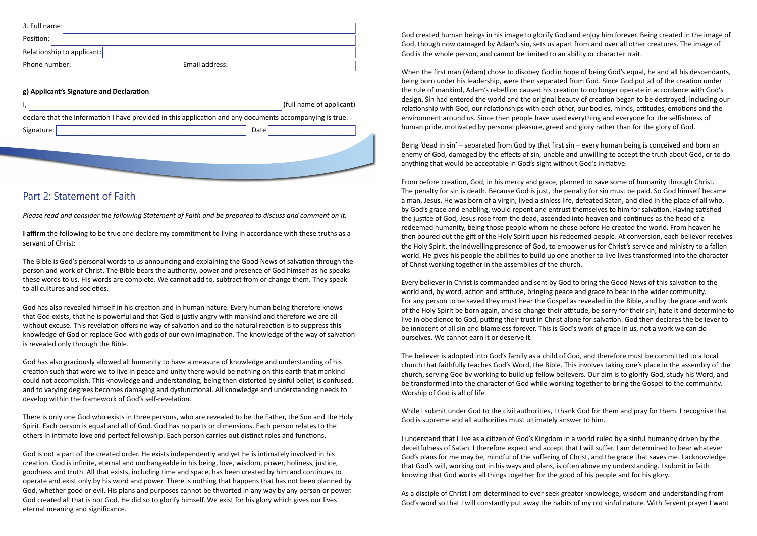| Email address:           |
|--------------------------|
|                          |
|                          |
| (full name of applicant) |
|                          |

declare that the information I have provided in this application and any documents accompanying is true.

| Signature: | Data |
|------------|------|
|            |      |
|            |      |
|            |      |

## Part 2: Statement of Faith

*Please read and consider the following Statement of Faith and be prepared to discuss and comment on it.*

**I affirm** the following to be true and declare my commitment to living in accordance with these truths as a servant of Christ:

The Bible is God's personal words to us announcing and explaining the Good News of salvation through the person and work of Christ. The Bible bears the authority, power and presence of God himself as he speaks these words to us. His words are complete. We cannot add to, subtract from or change them. They speak to all cultures and societies.

God has also revealed himself in his creation and in human nature. Every human being therefore knows that God exists, that he is powerful and that God is justly angry with mankind and therefore we are all without excuse. This revelation offers no way of salvation and so the natural reaction is to suppress this knowledge of God or replace God with gods of our own imagination. The knowledge of the way of salvation is revealed only through the Bible.

God has also graciously allowed all humanity to have a measure of knowledge and understanding of his creation such that were we to live in peace and unity there would be nothing on this earth that mankind could not accomplish. This knowledge and understanding, being then distorted by sinful belief, is confused, and to varying degrees becomes damaging and dysfunctional. All knowledge and understanding needs to develop within the framework of God's self-revelation.

There is only one God who exists in three persons, who are revealed to be the Father, the Son and the Holy Spirit. Each person is equal and all of God. God has no parts or dimensions. Each person relates to the others in intimate love and perfect fellowship. Each person carries out distinct roles and functions.

God is not a part of the created order. He exists independently and yet he is intimately involved in his creation. God is infinite, eternal and unchangeable in his being, love, wisdom, power, holiness, justice, goodness and truth. All that exists, including time and space, has been created by him and continues to operate and exist only by his word and power. There is nothing that happens that has not been planned by God, whether good or evil. His plans and purposes cannot be thwarted in any way by any person or power. God created all that is not God. He did so to glorify himself. We exist for his glory which gives our lives eternal meaning and significance.

God created human beings in his image to glorify God and enjoy him forever. Being created in the image of God, though now damaged by Adam's sin, sets us apart from and over all other creatures. The image of God is the whole person, and cannot be limited to an ability or character trait.

When the first man (Adam) chose to disobey God in hope of being God's equal, he and all his descendants, being born under his leadership, were then separated from God. Since God put all of the creation under the rule of mankind, Adam's rebellion caused his creation to no longer operate in accordance with God's design. Sin had entered the world and the original beauty of creation began to be destroyed, including our relationship with God, our relationships with each other, our bodies, minds, attitudes, emotions and the environment around us. Since then people have used everything and everyone for the selfishness of human pride, motivated by personal pleasure, greed and glory rather than for the glory of God.

Being 'dead in sin' – separated from God by that first sin – every human being is conceived and born an enemy of God, damaged by the effects of sin, unable and unwilling to accept the truth about God, or to do anything that would be acceptable in God's sight without God's initiative.

From before creation, God, in his mercy and grace, planned to save some of humanity through Christ. The penalty for sin is death. Because God is just, the penalty for sin must be paid. So God himself became a man, Jesus. He was born of a virgin, lived a sinless life, defeated Satan, and died in the place of all who, by God's grace and enabling, would repent and entrust themselves to him for salvation. Having satisfied the justice of God, Jesus rose from the dead, ascended into heaven and continues as the head of a redeemed humanity, being those people whom he chose before He created the world. From heaven he then poured out the gift of the Holy Spirit upon his redeemed people. At conversion, each believer receives the Holy Spirit, the indwelling presence of God, to empower us for Christ's service and ministry to a fallen world. He gives his people the abilities to build up one another to live lives transformed into the character of Christ working together in the assemblies of the church.

Every believer in Christ is commanded and sent by God to bring the Good News of this salvation to the world and, by word, action and attitude, bringing peace and grace to bear in the wider community. For any person to be saved they must hear the Gospel as revealed in the Bible, and by the grace and work of the Holy Spirit be born again, and so change their attitude, be sorry for their sin, hate it and determine to live in obedience to God, putting their trust in Christ alone for salvation. God then declares the believer to be innocent of all sin and blameless forever. This is God's work of grace in us, not a work we can do ourselves. We cannot earn it or deserve it.

The believer is adopted into God's family as a child of God, and therefore must be committed to a local church that faithfully teaches God's Word, the Bible. This involves taking one's place in the assembly of the church, serving God by working to build up fellow believers. Our aim is to glorify God, study his Word, and be transformed into the character of God while working together to bring the Gospel to the community. Worship of God is all of life.

While I submit under God to the civil authorities, I thank God for them and pray for them. I recognise that God is supreme and all authorities must ultimately answer to him.

I understand that I live as a citizen of God's Kingdom in a world ruled by a sinful humanity driven by the deceitfulness of Satan. I therefore expect and accept that I will suffer. I am determined to bear whatever God's plans for me may be, mindful of the suffering of Christ, and the grace that saves me. I acknowledge that God's will, working out in his ways and plans, is often above my understanding. I submit in faith knowing that God works all things together for the good of his people and for his glory.

As a disciple of Christ I am determined to ever seek greater knowledge, wisdom and understanding from God's word so that I will constantly put away the habits of my old sinful nature. With fervent prayer I want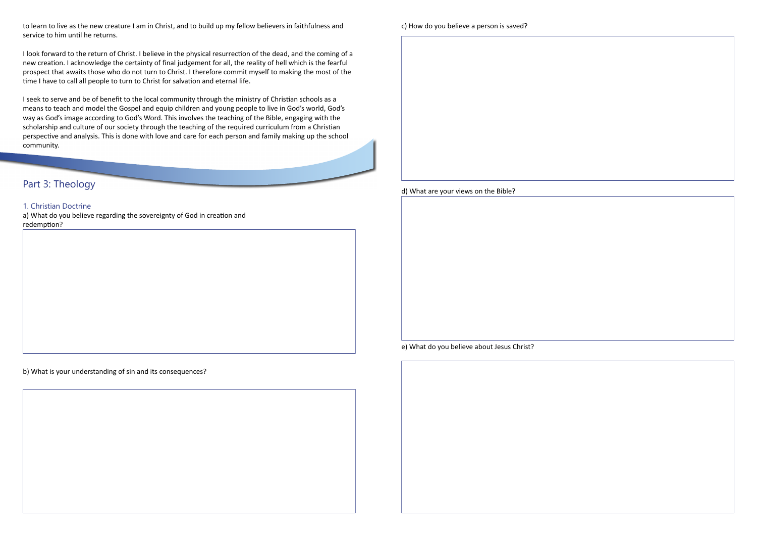to learn to live as the new creature I am in Christ, and to build up my fellow believers in faithfulness and service to him until he returns.

I look forward to the return of Christ. I believe in the physical resurrection of the dead, and the coming of a new creation. I acknowledge the certainty of final judgement for all, the reality of hell which is the fearful prospect that awaits those who do not turn to Christ. I therefore commit myself to making the most of the time I have to call all people to turn to Christ for salvation and eternal life.

I seek to serve and be of benefit to the local community through the ministry of Christian schools as a means to teach and model the Gospel and equip children and young people to live in God's world, God's way as God's image according to God's Word. This involves the teaching of the Bible, engaging with the scholarship and culture of our society through the teaching of the required curriculum from a Christian perspective and analysis. This is done with love and care for each person and family making up the school community.

## Part 3: Theology

### 1. Christian Doctrine

a) What do you believe regarding the sovereignty of God in creation and redemption?

b) What is your understanding of sin and its consequences?



c) How do you believe a person is saved?

d) What are your views on the Bible?

e) What do you believe about Jesus Christ?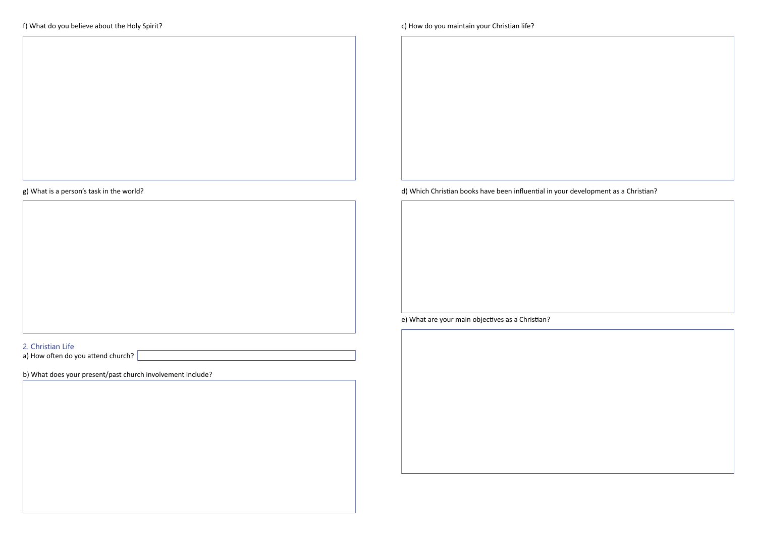g) What is a person's task in the world?

| 2. Christian Life                                          |
|------------------------------------------------------------|
|                                                            |
| a) How often do you attend church?                         |
|                                                            |
| b) What does your present/past church involvement include? |
|                                                            |

d) Which Christian books have been influential in your development as a Christian?

e) What are your main objectives as a Christian?